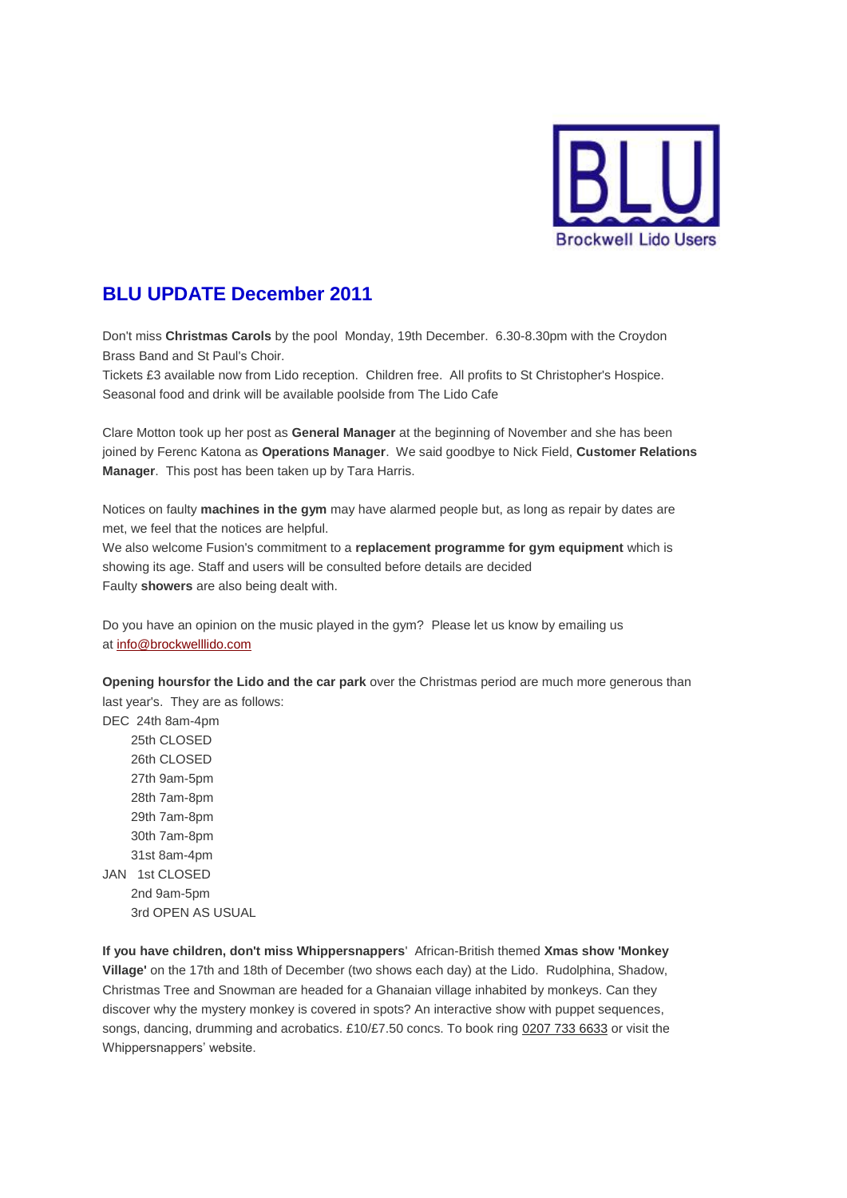

## **BLU UPDATE December 2011**

Don't miss **Christmas Carols** by the pool Monday, 19th December. 6.30-8.30pm with the Croydon Brass Band and St Paul's Choir.

Tickets £3 available now from Lido reception. Children free. All profits to St Christopher's Hospice. Seasonal food and drink will be available poolside from The Lido Cafe

Clare Motton took up her post as **General Manager** at the beginning of November and she has been joined by Ferenc Katona as **Operations Manager**. We said goodbye to Nick Field, **Customer Relations Manager**. This post has been taken up by Tara Harris.

Notices on faulty **machines in the gym** may have alarmed people but, as long as repair by dates are met, we feel that the notices are helpful.

We also welcome Fusion's commitment to a **replacement programme for gym equipment** which is showing its age. Staff and users will be consulted before details are decided Faulty **showers** are also being dealt with.

Do you have an opinion on the music played in the gym? Please let us know by emailing us at [info@brockwelllido.com](mailto:info@brockwelllido.com)

**Opening hoursfor the Lido and the car park** over the Christmas period are much more generous than last year's. They are as follows:

DEC 24th 8am-4pm 25th CLOSED 26th CLOSED 27th 9am-5pm 28th 7am-8pm 29th 7am-8pm 30th 7am-8pm 31st 8am-4pm JAN 1st CLOSED 2nd 9am-5pm 3rd OPEN AS USUAL

**If you have children, don't miss Whippersnappers**' African-British themed **Xmas show 'Monkey Village'** on the 17th and 18th of December (two shows each day) at the Lido. Rudolphina, Shadow, Christmas Tree and Snowman are headed for a Ghanaian village inhabited by monkeys. Can they discover why the mystery monkey is covered in spots? An interactive show with puppet sequences, songs, dancing, drumming and acrobatics. £10/£7.50 concs. To book ring [0207 733 6633](tel:0207%20733%206633) or visit the Whippersnappers' website.